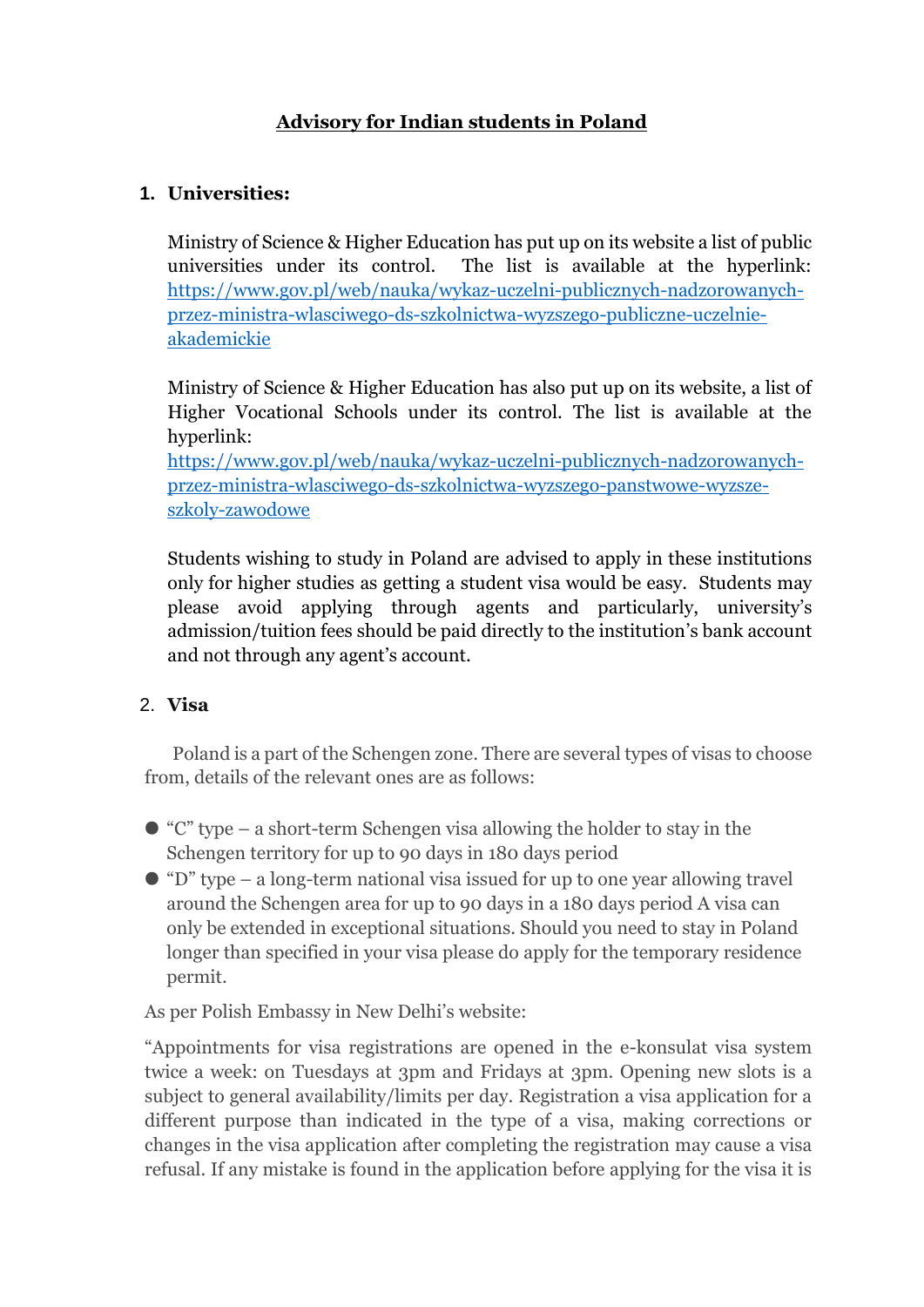# **Advisory for Indian students in Poland**

# **1. Universities:**

Ministry of Science & Higher Education has put up on its website a list of public universities under its control. The list is available at the hyperlink: [https://www.gov.pl/web/nauka/wykaz-uczelni-publicznych-nadzorowanych](https://www.gov.pl/web/nauka/wykaz-uczelni-publicznych-nadzorowanych-przez-ministra-wlasciwego-ds-szkolnictwa-wyzszego-publiczne-uczelnie-akademickie)[przez-ministra-wlasciwego-ds-szkolnictwa-wyzszego-publiczne-uczelnie](https://www.gov.pl/web/nauka/wykaz-uczelni-publicznych-nadzorowanych-przez-ministra-wlasciwego-ds-szkolnictwa-wyzszego-publiczne-uczelnie-akademickie)[akademickie](https://www.gov.pl/web/nauka/wykaz-uczelni-publicznych-nadzorowanych-przez-ministra-wlasciwego-ds-szkolnictwa-wyzszego-publiczne-uczelnie-akademickie)

Ministry of Science & Higher Education has also put up on its website, a list of Higher Vocational Schools under its control. The list is available at the hyperlink:

[https://www.gov.pl/web/nauka/wykaz-uczelni-publicznych-nadzorowanych](https://www.gov.pl/web/nauka/wykaz-uczelni-publicznych-nadzorowanych-przez-ministra-wlasciwego-ds-szkolnictwa-wyzszego-panstwowe-wyzsze-szkoly-zawodowe)[przez-ministra-wlasciwego-ds-szkolnictwa-wyzszego-panstwowe-wyzsze](https://www.gov.pl/web/nauka/wykaz-uczelni-publicznych-nadzorowanych-przez-ministra-wlasciwego-ds-szkolnictwa-wyzszego-panstwowe-wyzsze-szkoly-zawodowe)[szkoly-zawodowe](https://www.gov.pl/web/nauka/wykaz-uczelni-publicznych-nadzorowanych-przez-ministra-wlasciwego-ds-szkolnictwa-wyzszego-panstwowe-wyzsze-szkoly-zawodowe)

Students wishing to study in Poland are advised to apply in these institutions only for higher studies as getting a student visa would be easy. Students may please avoid applying through agents and particularly, university's admission/tuition fees should be paid directly to the institution's bank account and not through any agent's account.

# 2. **Visa**

Poland is a part of the Schengen zone. There are several types of visas to choose from, details of the relevant ones are as follows:

- $\bullet$  "C" type a short-term Schengen visa allowing the holder to stay in the Schengen territory for up to 90 days in 180 days period
- $\bullet$  "D" type a long-term national visa issued for up to one year allowing travel around the Schengen area for up to 90 days in a 180 days period A visa can only be extended in exceptional situations. Should you need to stay in Poland longer than specified in your visa please do apply for the temporary residence permit.

As per Polish Embassy in New Delhi's website:

"Appointments for visa registrations are opened in the e-konsulat visa system twice a week: on Tuesdays at 3pm and Fridays at 3pm. Opening new slots is a subject to general availability/limits per day. Registration a visa application for a different purpose than indicated in the type of a visa, making corrections or changes in the visa application after completing the registration may cause a visa refusal. If any mistake is found in the application before applying for the visa it is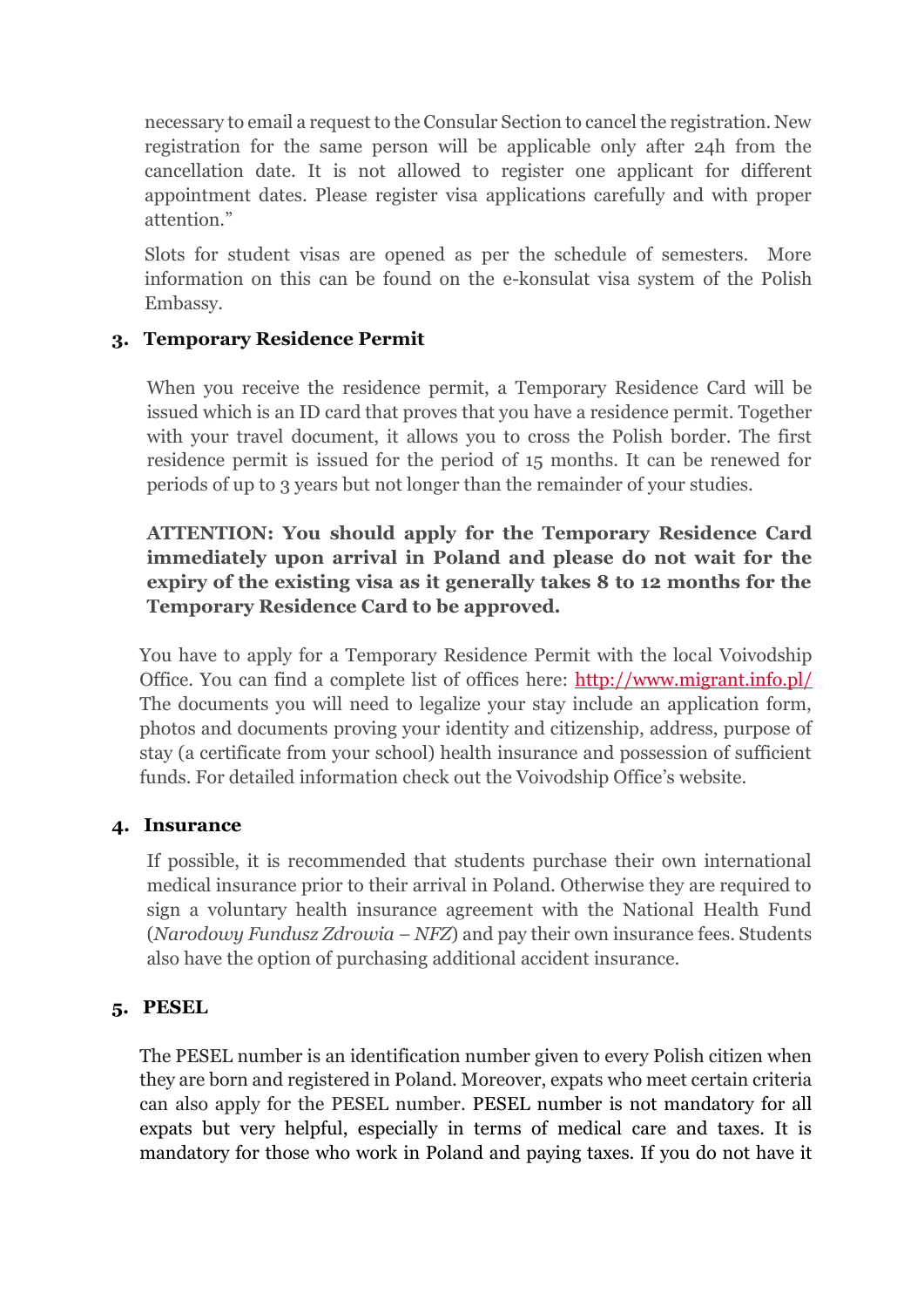necessary to email a request to the Consular Section to cancel the registration. New registration for the same person will be applicable only after 24h from the cancellation date. It is not allowed to register one applicant for different appointment dates. Please register visa applications carefully and with proper attention."

Slots for student visas are opened as per the schedule of semesters. More information on this can be found on the e-konsulat visa system of the Polish Embassy.

# **3. Temporary Residence Permit**

When you receive the residence permit, a Temporary Residence Card will be issued which is an ID card that proves that you have a residence permit. Together with your travel document, it allows you to cross the Polish border. The first residence permit is issued for the period of 15 months. It can be renewed for periods of up to 3 years but not longer than the remainder of your studies.

# **ATTENTION: You should apply for the Temporary Residence Card immediately upon arrival in Poland and please do not wait for the expiry of the existing visa as it generally takes 8 to 12 months for the Temporary Residence Card to be approved.**

You have to apply for a Temporary Residence Permit with the local Voivodship Office. You can find a complete list of offices here: [http://www.migrant.info.pl/](http://www.migrant.info.pl/public-institutions.html) The documents you will need to legalize your stay include an application form, photos and documents proving your identity and citizenship, address, purpose of stay (a certificate from your school) health insurance and possession of sufficient funds. For detailed information check out the Voivodship Office's website.

#### **4. Insurance**

If possible, it is recommended that students purchase their own international medical insurance prior to their arrival in Poland. Otherwise they are required to sign a voluntary health insurance agreement with the National Health Fund (*Narodowy Fundusz Zdrowia – NFZ*) and pay their own insurance fees. Students also have the option of purchasing additional accident insurance.

# **5. PESEL**

The PESEL number is an identification number given to every Polish citizen when they are born and registered in Poland. Moreover, expats who meet certain criteria can also apply for the PESEL number. PESEL number is not mandatory for all expats but very helpful, especially in terms of medical care and taxes. It is mandatory for those who work in Poland and paying taxes. If you do not have it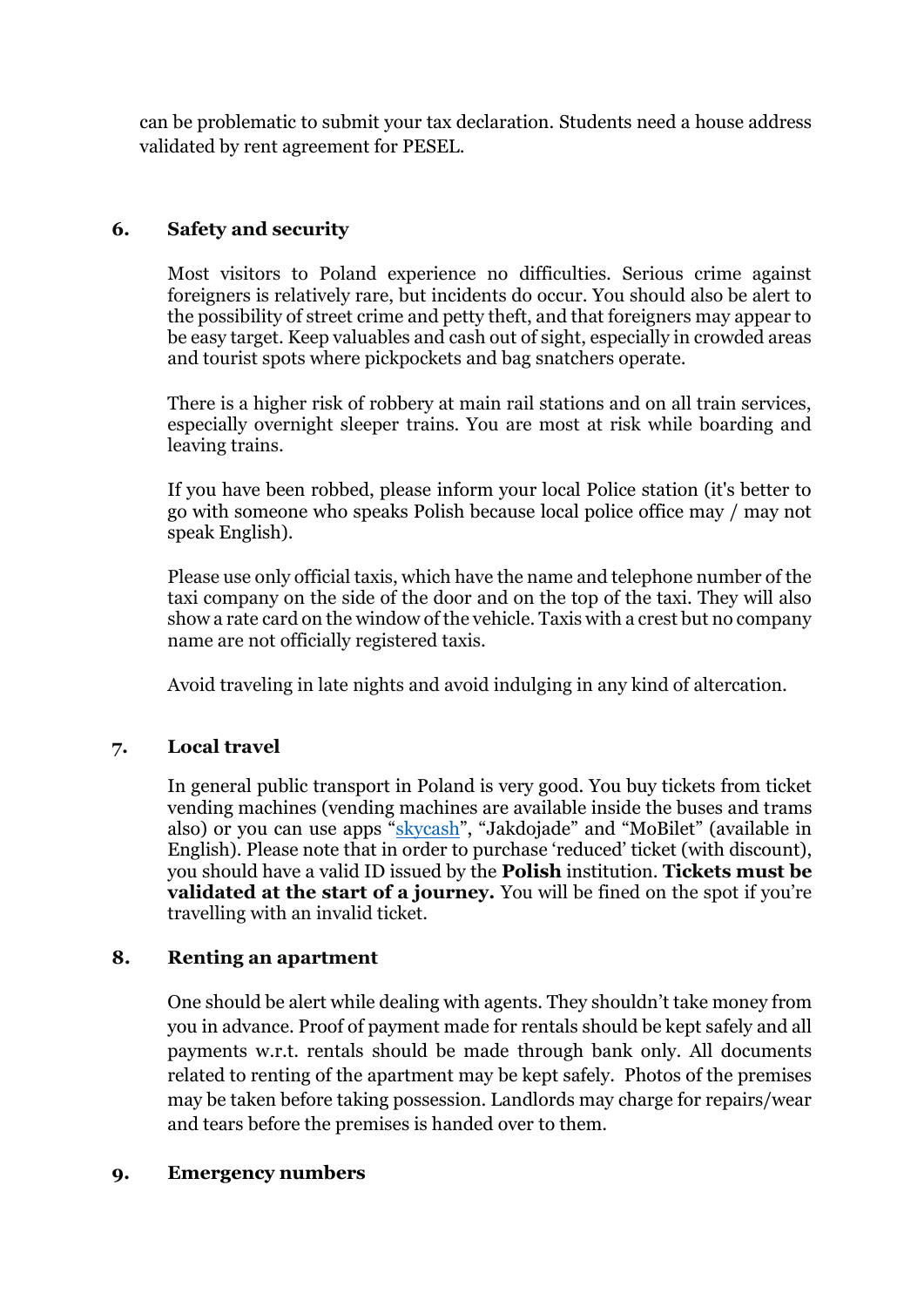can be problematic to submit your tax declaration. Students need a house address validated by rent agreement for PESEL.

#### **6. Safety and security**

Most visitors to Poland experience no difficulties. Serious crime against foreigners is relatively rare, but incidents do occur. You should also be alert to the possibility of street crime and petty theft, and that foreigners may appear to be easy target. Keep valuables and cash out of sight, especially in crowded areas and tourist spots where pickpockets and bag snatchers operate.

There is a higher risk of robbery at main rail stations and on all train services, especially overnight sleeper trains. You are most at risk while boarding and leaving trains.

If you have been robbed, please inform your local Police station (it's better to go with someone who speaks Polish because local police office may / may not speak English).

Please use only official taxis, which have the name and telephone number of the taxi company on the side of the door and on the top of the taxi. They will also show a rate card on the window of the vehicle. Taxis with a crest but no company name are not officially registered taxis.

Avoid traveling in late nights and avoid indulging in any kind of altercation.

#### **7. Local travel**

In general public transport in Poland is very good. You buy tickets from ticket vending machines (vending machines are available inside the buses and trams also) or you can use apps "[skycash](https://www.google.com/url?q=https%3A%2F%2Fwww.skycash.com%2F&sa=D&sntz=1&usg=AFQjCNGC4m2L13HVqfudZGriQAMZD45jmA)", "Jakdojade" and "MoBilet" (available in English). Please note that in order to purchase 'reduced' ticket (with discount), you should have a valid ID issued by the **Polish** institution. **Tickets must be validated at the start of a journey.** You will be fined on the spot if you're travelling with an invalid ticket.

#### **8. Renting an apartment**

One should be alert while dealing with agents. They shouldn't take money from you in advance. Proof of payment made for rentals should be kept safely and all payments w.r.t. rentals should be made through bank only. All documents related to renting of the apartment may be kept safely. Photos of the premises may be taken before taking possession. Landlords may charge for repairs/wear and tears before the premises is handed over to them.

#### **9. Emergency numbers**